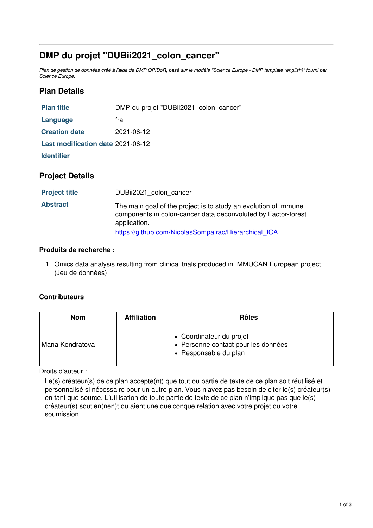# **DMP du projet "DUBii2021\_colon\_cancer"**

Plan de gestion de données créé à l'aide de DMP OPIDoR, basé sur le modèle "Science Europe - DMP template (english)" fourni par *Science Europe.*

### **Plan Details**

| <b>Plan title</b>                 | DMP du projet "DUBii2021 colon cancer" |  |  |
|-----------------------------------|----------------------------------------|--|--|
| Language                          | fra                                    |  |  |
| <b>Creation date</b>              | 2021-06-12                             |  |  |
| Last modification date 2021-06-12 |                                        |  |  |
| <b>Identifier</b>                 |                                        |  |  |
| <b>Project Details</b>            |                                        |  |  |

| <b>Project title</b> | DUBii2021 colon cancer                                                                                                                           |
|----------------------|--------------------------------------------------------------------------------------------------------------------------------------------------|
| <b>Abstract</b>      | The main goal of the project is to study an evolution of immune<br>components in colon-cancer data deconvoluted by Factor-forest<br>application. |
|                      | https://github.com/NicolasSompairac/Hierarchical_ICA                                                                                             |

#### **Produits de recherche :**

1. Omics data analysis resulting from clinical trials produced in IMMUCAN European project (Jeu de données)

#### **Contributeurs**

| <b>Nom</b>       | <b>Affiliation</b> | <b>Rôles</b>                                                                             |
|------------------|--------------------|------------------------------------------------------------------------------------------|
| Maria Kondratova |                    | • Coordinateur du projet<br>• Personne contact pour les données<br>• Responsable du plan |

Droits d'auteur :

Le(s) créateur(s) de ce plan accepte(nt) que tout ou partie de texte de ce plan soit réutilisé et personnalisé si nécessaire pour un autre plan. Vous n'avez pas besoin de citer le(s) créateur(s) en tant que source. L'utilisation de toute partie de texte de ce plan n'implique pas que le(s) créateur(s) soutien(nen)t ou aient une quelconque relation avec votre projet ou votre soumission.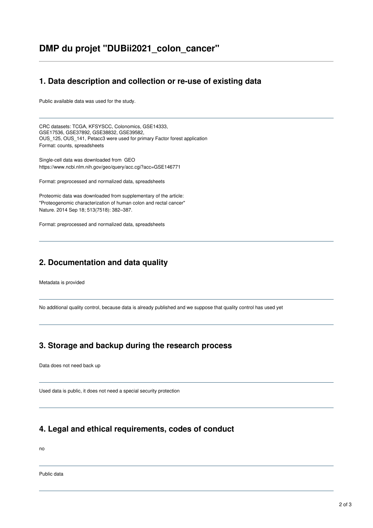## **DMP du projet "DUBii2021\_colon\_cancer"**

#### **1. Data description and collection or re-use of existing data**

Public available data was used for the study.

CRC datasets: TCGA, KFSYSCC, Colonomics, GSE14333, GSE17536, GSE37892, GSE38832, GSE39582, OUS\_125, OUS\_141, Petacc3 were used for primary Factor forest application Format: counts, spreadsheets

Single-cell data was downloaded from GEO https://www.ncbi.nlm.nih.gov/geo/query/acc.cgi?acc=GSE146771

Format: preprocessed and normalized data, spreadsheets

Proteomic data was downloaded from supplementary of the article: "Proteogenomic characterization of human colon and rectal cancer" Nature. 2014 Sep 18; 513(7518): 382–387.

Format: preprocessed and normalized data, spreadsheets

### **2. Documentation and data quality**

Metadata is provided

No additional quality control, because data is already published and we suppose that quality control has used yet

#### **3. Storage and backup during the research process**

Data does not need back up

Used data is public, it does not need a special security protection

### **4. Legal and ethical requirements, codes of conduct**

no

Public data